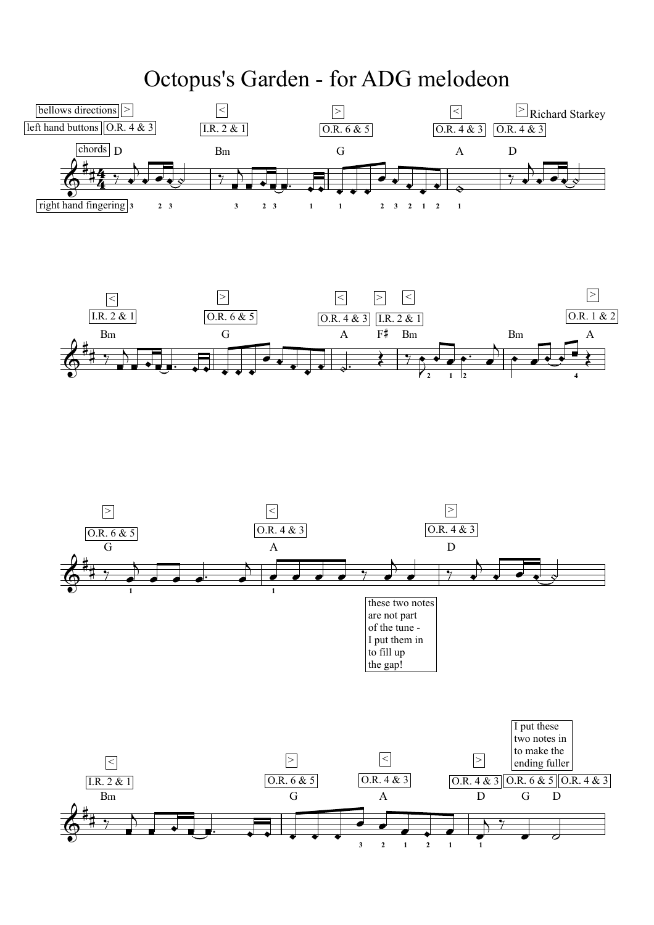